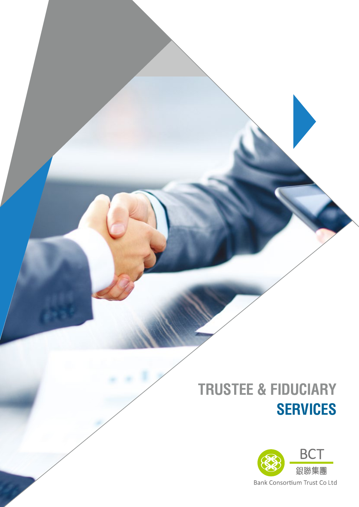## **TRUSTEE & FIDUCIARY SERVICES**